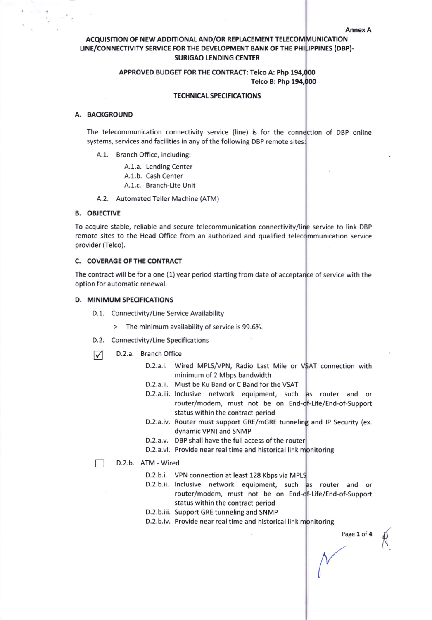Annex A

Page 1 of 4

{

# ACQUISITION OF NEW ADDITIONAL AND/OR REPLACEMENT TELECOMMUNICATION LINE/CONNECTIVITY SERVICE FOR THE DEVELOPMENT BANK OF THE PHILIPPINES (DBP)-SURIGAO LENDING CENTER

# APPROVED BUDGET FOR THE CONTRACT: Telco A: Php 194, Telco B: Php

## TECHNICAL SPECIFICATIONS

## A. BACKGROUND

The telecommunication connectivity service (line) is for the connection of DBP online systems, services and facilities in any of the following DBP remote sites:

- A.1. Branch Office, including:
	- A.1.a. Lending Center
	- A.1.b. Cash Center
	- A.1.c. Branch-Lite Unit
- A.2. Automated Teller Machine (ATM)

### B. OBJECTIVE

To acquire stable, reliable and secure telecommunication connectivity/lin<mark>e service to link DBP</mark> remote sites to the Head Office from an authorized and qualified telecommunication service provider (Telco).

# C. COVERAGE OF THE CONTRACT

The contract will be for a one (1) year period starting from date of accepta of service with the option for automatic renewal.

### D. MINIMUM SPECIFICATIONS

- D.1. Connectivity/Line Service Availability
	- $>$  The minimum availability of service is 99.6%.
- D.2. Connectivity/Line Specifications
- $\nabla$  D.2.a. Branch Office
	- D.2.a.i. Wired MPLS/VPN, Radio Last Mile or V\$AT connection with minimum of 2 Mbps bandwidth
	- D.2.a.ii. Must be Ku Band or C Band for the VSAT
	- D.2.a.iii. Inclusive network equipment, such as router and or router/modem, must not be on En Life/End-of-Support status within the contract period
	- D.2.a.iv. Router must support GRE/mGRE tunneling and IP Security (ex dynamic VPN) and SNMP
	- D.2.a.v. DBP shall have the full access of the route
	- D.2.a.vi. Provide near real time and historical link m<mark>onitoring</mark>
	- D.2.b. ATM wired
		- D.2.b.i. VPN connection at least 128 Kbps via MPLS
		- D.2.b.ii. lnclusive network equipment, such router/modem, must not be on En -Life/End-of-Support status within the contract period as router and or
		- D.2.b.iii. Support GRE tunneling and SNMP
		- D.2.b.iv. Provide near real time and historical link monitoring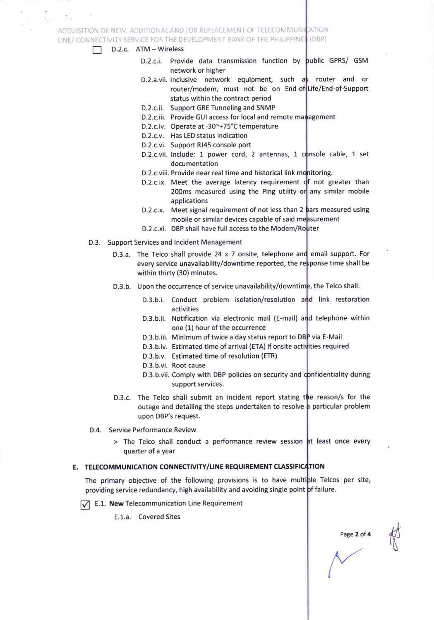# ACQUISITION OF NEW, ADDITIONAL AND /OR REPLACEMENT OF TELECOMMUNICATION LINE/ CONNECTIVITY SERVICE FOR THE DEVELOPMENT BANK OF THE PHILIPPINES (DBP)

#### D.2.c. ATM - Wireless П

- D.2.c.i. Provide data transmission function by public GPRS/ GSM network or higher
	- D.2.a.vii. Inclusive network equipment, such a router and or router/modem, must not be on End Life/End-of-Support status within the contract period
	- D.2.c.ii. Support GRE Tunneling and SNMP
	- D.2.c.iii. Provide GUI access for local and remote management
	- D.2.c.iv. Operate at -30~+75°C temperature
- D.2.c.v. Has LED status indication
- D.2.c.vi. Support RJ45 console port
- D.2.c.vii. Include: 1 power cord, 2 antennas, 1 console cable, 1 set documentation
- D.2.c.viii. Provide near real time and historical link mo<mark>nitoring</mark>.
- D.2.c.ix. Meet the average latency requirement of not greater than 200ms measured using the Ping utility or any similar mobile applications
- D.2.c.x. Meet signal requirement of not less than 2 **b**ars measured using mobile or similar devices capable of said measurement
- D.2.c.xi. DBP shall have full access to the Modem/Router
- D.3. Support Services and lncident Management
	- D.3.a. The Telco shall provide 24 x 7 onsite, telephone and email support. For every service unavailability/downtime reported, the response time shall be within thirty (30) minutes.
	- D.3.b. Upon the occurrence of service unavailability/downtime, the Telco shall:
		- D.3.b.i. Conduct problem isolation/resolution and link restoration activities
		- D.3.b.ii. Notification via electronic mail (E-mail) and telephone within one (1) hour of the occurrence
		- D.3.b.iii. Minimum of twice a day status report to DBP via E-Mail
		- D.3.b.iv. Estimated time of arrival (ETA) if onsite activities required
		- D.3.b.v. Estimated time of resolution (ETR)
		- D.3.b.vi. Root cause
		- D.3.b.vii. Comply with DBP policies on security and confidentiality during support services.
	- D.3.c. The Telco shall submit an incident report stating the reason/s for the outage and detailing the steps undertaken to resolve a particular problem upon DBP's request.
- D.4. Service Performance Review
	- > The Telco shall conduct a performance review session at least once every quarter of a Year

#### E. TELECOMMUNICATION CONNECTIVITY/LINE REQUIREMENT CLASSIFICATION

The primary objective of the following provisions is to have multiple Telcos per site, providing service redundancy, high availability and avoiding single point **þf f**ailure

 $\sqrt{\phantom{a}}$  E.1. New Telecommunication Line Requirement

E.1.a. Covered Sites

Page 2 of 4

(